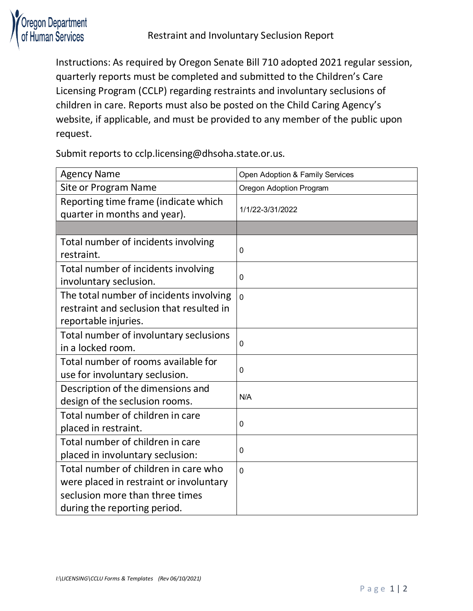

Instructions: As required by Oregon Senate Bill 710 adopted 2021 regular session, quarterly reports must be completed and submitted to the Children's Care Licensing Program (CCLP) regarding restraints and involuntary seclusions of children in care. Reports must also be posted on the Child Caring Agency's website, if applicable, and must be provided to any member of the public upon request.

Submit reports to [cclp.licensing@dhsoha.state.or.us.](mailto:cclp.licensing@dhsoha.state.or.us)

| <b>Agency Name</b>                                                                                                                                 | Open Adoption & Family Services |
|----------------------------------------------------------------------------------------------------------------------------------------------------|---------------------------------|
| Site or Program Name                                                                                                                               | Oregon Adoption Program         |
| Reporting time frame (indicate which<br>quarter in months and year).                                                                               | 1/1/22-3/31/2022                |
|                                                                                                                                                    |                                 |
| Total number of incidents involving<br>restraint.                                                                                                  | 0                               |
| Total number of incidents involving<br>involuntary seclusion.                                                                                      | 0                               |
| The total number of incidents involving<br>restraint and seclusion that resulted in<br>reportable injuries.                                        | $\overline{0}$                  |
| Total number of involuntary seclusions<br>in a locked room.                                                                                        | 0                               |
| Total number of rooms available for<br>use for involuntary seclusion.                                                                              | 0                               |
| Description of the dimensions and<br>design of the seclusion rooms.                                                                                | N/A                             |
| Total number of children in care<br>placed in restraint.                                                                                           | 0                               |
| Total number of children in care<br>placed in involuntary seclusion:                                                                               | 0                               |
| Total number of children in care who<br>were placed in restraint or involuntary<br>seclusion more than three times<br>during the reporting period. | 0                               |